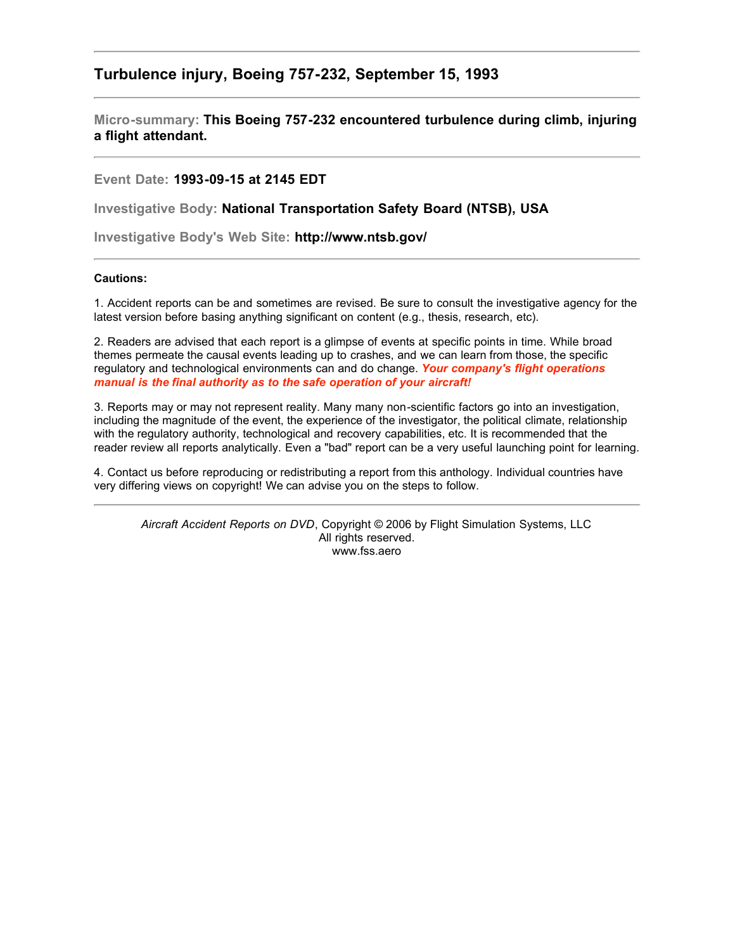## **Turbulence injury, Boeing 757-232, September 15, 1993**

**Micro-summary: This Boeing 757-232 encountered turbulence during climb, injuring a flight attendant.**

**Event Date: 1993-09-15 at 2145 EDT**

**Investigative Body: National Transportation Safety Board (NTSB), USA**

**Investigative Body's Web Site: http://www.ntsb.gov/**

## **Cautions:**

1. Accident reports can be and sometimes are revised. Be sure to consult the investigative agency for the latest version before basing anything significant on content (e.g., thesis, research, etc).

2. Readers are advised that each report is a glimpse of events at specific points in time. While broad themes permeate the causal events leading up to crashes, and we can learn from those, the specific regulatory and technological environments can and do change. *Your company's flight operations manual is the final authority as to the safe operation of your aircraft!*

3. Reports may or may not represent reality. Many many non-scientific factors go into an investigation, including the magnitude of the event, the experience of the investigator, the political climate, relationship with the regulatory authority, technological and recovery capabilities, etc. It is recommended that the reader review all reports analytically. Even a "bad" report can be a very useful launching point for learning.

4. Contact us before reproducing or redistributing a report from this anthology. Individual countries have very differing views on copyright! We can advise you on the steps to follow.

*Aircraft Accident Reports on DVD*, Copyright © 2006 by Flight Simulation Systems, LLC All rights reserved. www.fss.aero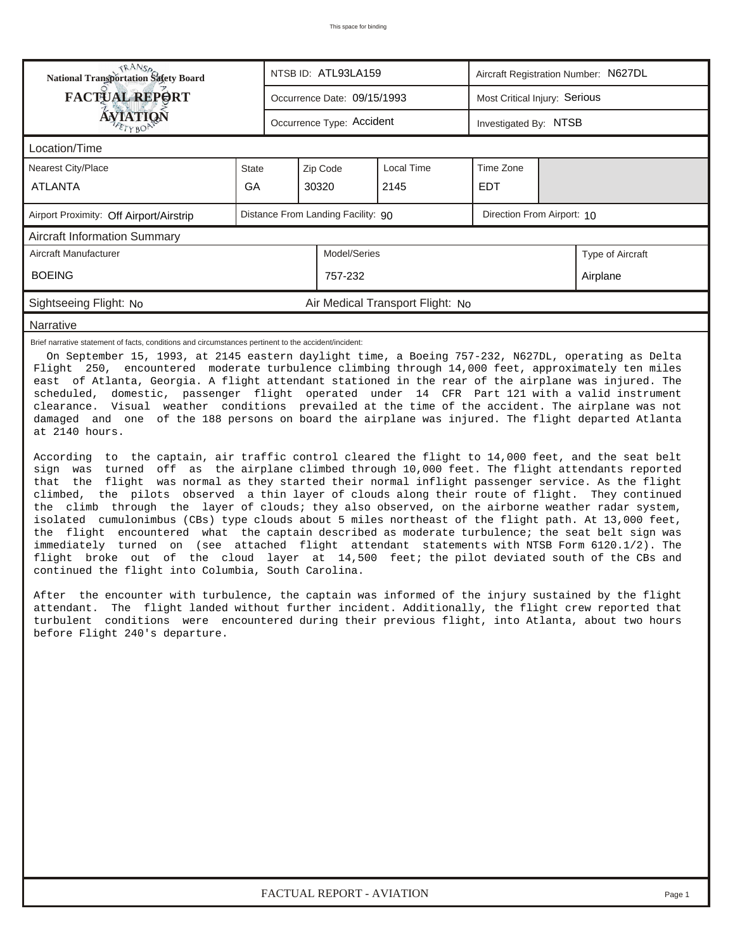| <b>National Transportation Safety Board</b>                                                                                                                                                                                                                                                                                                                                                                                                                                                                                                                                                                                                                                                                                                                                                                                                                                                                                                                                         |       |  | NTSB ID: ATL93LA159         |                                  | Aircraft Registration Number: N627DL |  |                  |  |  |  |  |
|-------------------------------------------------------------------------------------------------------------------------------------------------------------------------------------------------------------------------------------------------------------------------------------------------------------------------------------------------------------------------------------------------------------------------------------------------------------------------------------------------------------------------------------------------------------------------------------------------------------------------------------------------------------------------------------------------------------------------------------------------------------------------------------------------------------------------------------------------------------------------------------------------------------------------------------------------------------------------------------|-------|--|-----------------------------|----------------------------------|--------------------------------------|--|------------------|--|--|--|--|
| <b>FACTUAL REPORT</b>                                                                                                                                                                                                                                                                                                                                                                                                                                                                                                                                                                                                                                                                                                                                                                                                                                                                                                                                                               |       |  | Occurrence Date: 09/15/1993 |                                  | Most Critical Injury: Serious        |  |                  |  |  |  |  |
| <b>ÁVIATIQN</b>                                                                                                                                                                                                                                                                                                                                                                                                                                                                                                                                                                                                                                                                                                                                                                                                                                                                                                                                                                     |       |  | Occurrence Type: Accident   |                                  | Investigated By: NTSB                |  |                  |  |  |  |  |
| Location/Time                                                                                                                                                                                                                                                                                                                                                                                                                                                                                                                                                                                                                                                                                                                                                                                                                                                                                                                                                                       |       |  |                             |                                  |                                      |  |                  |  |  |  |  |
| Nearest City/Place                                                                                                                                                                                                                                                                                                                                                                                                                                                                                                                                                                                                                                                                                                                                                                                                                                                                                                                                                                  | State |  | Zip Code                    | Local Time                       | Time Zone                            |  |                  |  |  |  |  |
| <b>ATLANTA</b>                                                                                                                                                                                                                                                                                                                                                                                                                                                                                                                                                                                                                                                                                                                                                                                                                                                                                                                                                                      | GA    |  | 30320                       | 2145                             | <b>EDT</b>                           |  |                  |  |  |  |  |
| Distance From Landing Facility: 90<br>Direction From Airport: 10<br>Airport Proximity: Off Airport/Airstrip                                                                                                                                                                                                                                                                                                                                                                                                                                                                                                                                                                                                                                                                                                                                                                                                                                                                         |       |  |                             |                                  |                                      |  |                  |  |  |  |  |
| <b>Aircraft Information Summary</b>                                                                                                                                                                                                                                                                                                                                                                                                                                                                                                                                                                                                                                                                                                                                                                                                                                                                                                                                                 |       |  |                             |                                  |                                      |  |                  |  |  |  |  |
| Aircraft Manufacturer                                                                                                                                                                                                                                                                                                                                                                                                                                                                                                                                                                                                                                                                                                                                                                                                                                                                                                                                                               |       |  | Model/Series                |                                  |                                      |  | Type of Aircraft |  |  |  |  |
| <b>BOEING</b>                                                                                                                                                                                                                                                                                                                                                                                                                                                                                                                                                                                                                                                                                                                                                                                                                                                                                                                                                                       |       |  | 757-232                     |                                  |                                      |  | Airplane         |  |  |  |  |
| Sightseeing Flight: No                                                                                                                                                                                                                                                                                                                                                                                                                                                                                                                                                                                                                                                                                                                                                                                                                                                                                                                                                              |       |  |                             | Air Medical Transport Flight: No |                                      |  |                  |  |  |  |  |
| Narrative                                                                                                                                                                                                                                                                                                                                                                                                                                                                                                                                                                                                                                                                                                                                                                                                                                                                                                                                                                           |       |  |                             |                                  |                                      |  |                  |  |  |  |  |
| On September 15, 1993, at 2145 eastern daylight time, a Boeing 757-232, N627DL, operating as Delta<br>Flight 250, encountered moderate turbulence climbing through 14,000 feet, approximately ten miles<br>east of Atlanta, Georgia. A flight attendant stationed in the rear of the airplane was injured. The<br>scheduled, domestic, passenger flight operated under 14 CFR Part 121 with a valid instrument<br>clearance. Visual weather conditions prevailed at the time of the accident. The airplane was not<br>damaged and one of the 188 persons on board the airplane was injured. The flight departed Atlanta<br>at 2140 hours.                                                                                                                                                                                                                                                                                                                                           |       |  |                             |                                  |                                      |  |                  |  |  |  |  |
| According to the captain, air traffic control cleared the flight to 14,000 feet, and the seat belt<br>sign was turned off as the airplane climbed through 10,000 feet. The flight attendants reported<br>that the flight was normal as they started their normal inflight passenger service. As the flight<br>climbed, the pilots observed a thin layer of clouds along their route of flight. They continued<br>the climb through the layer of clouds; they also observed, on the airborne weather radar system,<br>isolated cumulonimbus (CBs) type clouds about 5 miles northeast of the flight path. At 13,000 feet,<br>the flight encountered what the captain described as moderate turbulence; the seat belt sign was<br>immediately turned on (see attached flight attendant statements with NTSB Form 6120.1/2). The<br>flight broke out of the cloud layer at 14,500 feet; the pilot deviated south of the CBs and<br>continued the flight into Columbia, South Carolina. |       |  |                             |                                  |                                      |  |                  |  |  |  |  |
| After the encounter with turbulence, the captain was informed of the injury sustained by the flight<br>attendant. The flight landed without further incident. Additionally, the flight crew reported that<br>turbulent conditions were encountered during their previous flight, into Atlanta, about two hours<br>before Flight 240's departure.                                                                                                                                                                                                                                                                                                                                                                                                                                                                                                                                                                                                                                    |       |  |                             |                                  |                                      |  |                  |  |  |  |  |
|                                                                                                                                                                                                                                                                                                                                                                                                                                                                                                                                                                                                                                                                                                                                                                                                                                                                                                                                                                                     |       |  |                             |                                  |                                      |  |                  |  |  |  |  |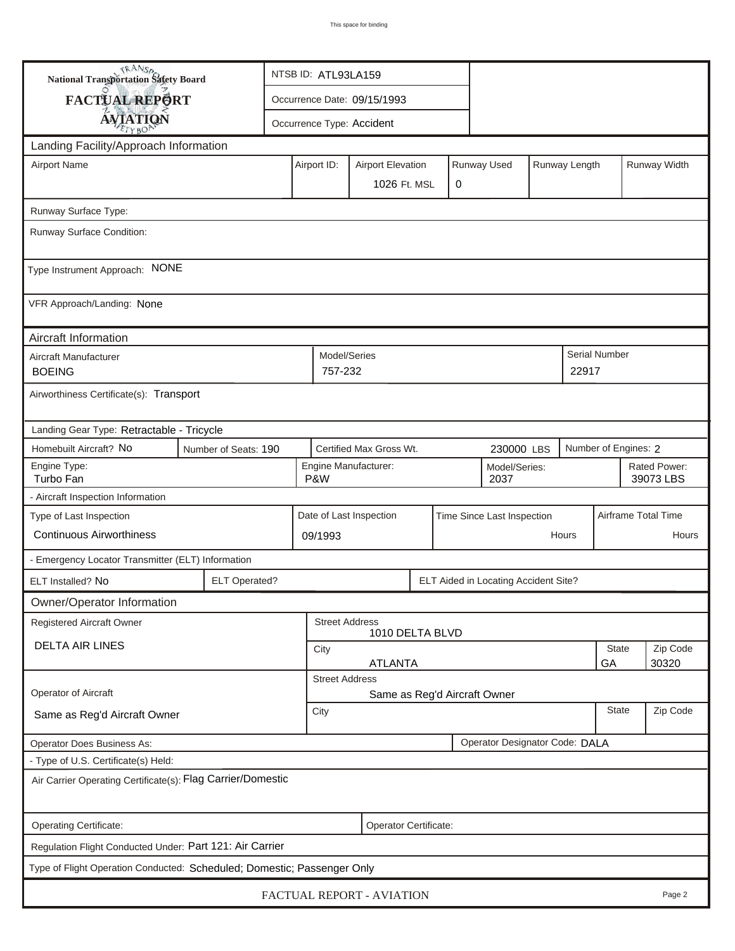| <b>National Transportation Safety Board</b>                             |                                                              |                                                                         | NTSB ID: ATL93LA159                                   |                         |  |   |                              |  |                           |                      |       |  |
|-------------------------------------------------------------------------|--------------------------------------------------------------|-------------------------------------------------------------------------|-------------------------------------------------------|-------------------------|--|---|------------------------------|--|---------------------------|----------------------|-------|--|
| <b>FACTUAL REPORT</b>                                                   |                                                              | Occurrence Date: 09/15/1993                                             |                                                       |                         |  |   |                              |  |                           |                      |       |  |
| <b>AVIATION</b>                                                         |                                                              |                                                                         | Occurrence Type: Accident                             |                         |  |   |                              |  |                           |                      |       |  |
| Landing Facility/Approach Information                                   |                                                              |                                                                         |                                                       |                         |  |   |                              |  |                           |                      |       |  |
| <b>Airport Name</b>                                                     |                                                              | Runway Used<br>Runway Length<br>Airport ID:<br><b>Airport Elevation</b> |                                                       |                         |  |   |                              |  |                           | Runway Width         |       |  |
|                                                                         |                                                              |                                                                         |                                                       | 1026 Ft. MSL            |  | 0 |                              |  |                           |                      |       |  |
| Runway Surface Type:                                                    |                                                              |                                                                         |                                                       |                         |  |   |                              |  |                           |                      |       |  |
| Runway Surface Condition:                                               |                                                              |                                                                         |                                                       |                         |  |   |                              |  |                           |                      |       |  |
| Type Instrument Approach: NONE                                          |                                                              |                                                                         |                                                       |                         |  |   |                              |  |                           |                      |       |  |
| VFR Approach/Landing: None                                              |                                                              |                                                                         |                                                       |                         |  |   |                              |  |                           |                      |       |  |
| Aircraft Information                                                    |                                                              |                                                                         |                                                       |                         |  |   |                              |  |                           |                      |       |  |
| Aircraft Manufacturer<br><b>BOEING</b>                                  |                                                              |                                                                         | Model/Series<br>757-232                               |                         |  |   |                              |  | 22917                     | <b>Serial Number</b> |       |  |
| Airworthiness Certificate(s): Transport                                 |                                                              |                                                                         |                                                       |                         |  |   |                              |  |                           |                      |       |  |
| Landing Gear Type: Retractable - Tricycle                               |                                                              |                                                                         |                                                       |                         |  |   |                              |  |                           |                      |       |  |
| Homebuilt Aircraft? No                                                  | Number of Seats: 190                                         |                                                                         |                                                       | Certified Max Gross Wt. |  |   | 230000 LBS                   |  |                           | Number of Engines: 2 |       |  |
| Engine Type:<br>Turbo Fan                                               |                                                              | Engine Manufacturer:<br>Model/Series:<br>P&W<br>2037                    |                                                       |                         |  |   |                              |  | Rated Power:<br>39073 LBS |                      |       |  |
| - Aircraft Inspection Information                                       |                                                              |                                                                         |                                                       |                         |  |   |                              |  |                           |                      |       |  |
| Type of Last Inspection                                                 |                                                              |                                                                         | Date of Last Inspection<br>Time Since Last Inspection |                         |  |   |                              |  | Airframe Total Time       |                      |       |  |
| <b>Continuous Airworthiness</b>                                         |                                                              |                                                                         | 09/1993                                               |                         |  |   |                              |  | Hours                     |                      | Hours |  |
| - Emergency Locator Transmitter (ELT) Information                       |                                                              |                                                                         |                                                       |                         |  |   |                              |  |                           |                      |       |  |
| ELT Installed? No                                                       | <b>ELT Operated?</b><br>ELT Aided in Locating Accident Site? |                                                                         |                                                       |                         |  |   |                              |  |                           |                      |       |  |
| Owner/Operator Information                                              |                                                              |                                                                         |                                                       |                         |  |   |                              |  |                           |                      |       |  |
| Registered Aircraft Owner                                               |                                                              |                                                                         | <b>Street Address</b>                                 | 1010 DELTA BLVD         |  |   |                              |  |                           |                      |       |  |
| <b>DELTA AIR LINES</b>                                                  |                                                              | City<br><b>ATLANTA</b>                                                  |                                                       |                         |  |   |                              |  | <b>State</b><br>GA        | Zip Code<br>30320    |       |  |
|                                                                         |                                                              |                                                                         | <b>Street Address</b>                                 |                         |  |   |                              |  |                           |                      |       |  |
| Operator of Aircraft                                                    |                                                              |                                                                         |                                                       |                         |  |   | Same as Reg'd Aircraft Owner |  |                           |                      |       |  |
| Same as Reg'd Aircraft Owner                                            |                                                              | <b>State</b><br>City                                                    |                                                       |                         |  |   |                              |  | Zip Code                  |                      |       |  |
| Operator Designator Code: DALA<br><b>Operator Does Business As:</b>     |                                                              |                                                                         |                                                       |                         |  |   |                              |  |                           |                      |       |  |
| - Type of U.S. Certificate(s) Held:                                     |                                                              |                                                                         |                                                       |                         |  |   |                              |  |                           |                      |       |  |
| Air Carrier Operating Certificate(s): Flag Carrier/Domestic             |                                                              |                                                                         |                                                       |                         |  |   |                              |  |                           |                      |       |  |
| Operating Certificate:<br>Operator Certificate:                         |                                                              |                                                                         |                                                       |                         |  |   |                              |  |                           |                      |       |  |
| Regulation Flight Conducted Under: Part 121: Air Carrier                |                                                              |                                                                         |                                                       |                         |  |   |                              |  |                           |                      |       |  |
| Type of Flight Operation Conducted: Scheduled; Domestic; Passenger Only |                                                              |                                                                         |                                                       |                         |  |   |                              |  |                           |                      |       |  |
| FACTUAL REPORT - AVIATION<br>Page 2                                     |                                                              |                                                                         |                                                       |                         |  |   |                              |  |                           |                      |       |  |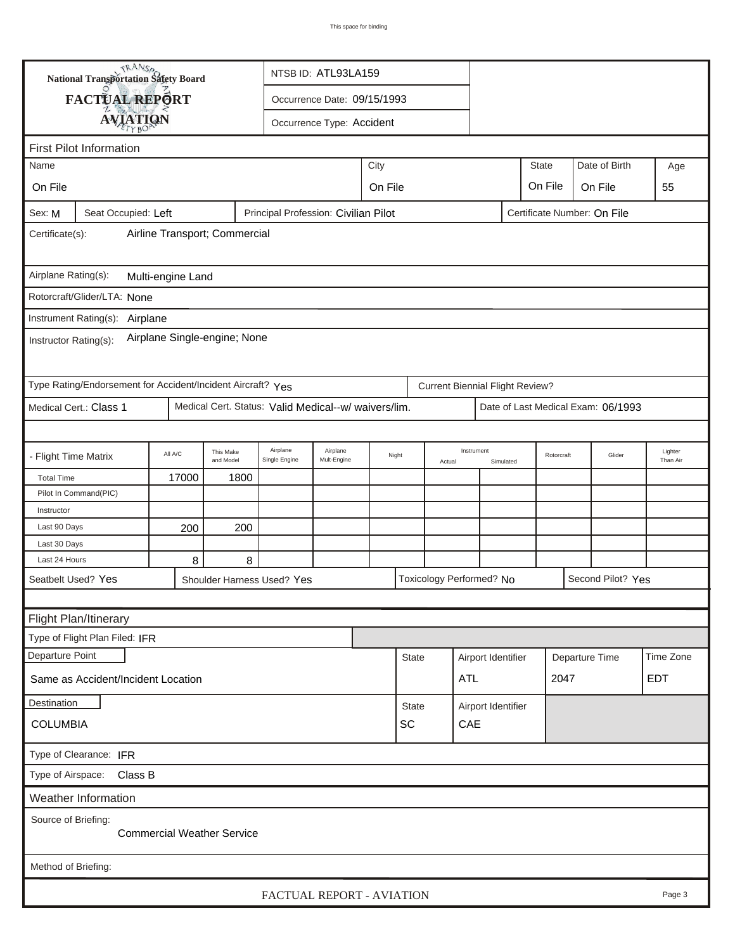|                                                                                                      | TRANSA<br>National Transportation Safety Board              |         | NTSB ID: ATL93LA159    |                                                      |                               |  |                 |  |                                        |                    |              |                |                                    |                     |
|------------------------------------------------------------------------------------------------------|-------------------------------------------------------------|---------|------------------------|------------------------------------------------------|-------------------------------|--|-----------------|--|----------------------------------------|--------------------|--------------|----------------|------------------------------------|---------------------|
|                                                                                                      | FACTUAL REPORT<br>Occurrence Date: 09/15/1993               |         |                        |                                                      |                               |  |                 |  |                                        |                    |              |                |                                    |                     |
|                                                                                                      |                                                             |         |                        |                                                      | Occurrence Type: Accident     |  |                 |  |                                        |                    |              |                |                                    |                     |
|                                                                                                      | <b>AVIATION</b>                                             |         |                        |                                                      |                               |  |                 |  |                                        |                    |              |                |                                    |                     |
| <b>First Pilot Information</b>                                                                       |                                                             |         |                        |                                                      |                               |  |                 |  |                                        |                    |              |                |                                    |                     |
| City<br>Name                                                                                         |                                                             |         |                        |                                                      |                               |  |                 |  |                                        |                    | <b>State</b> |                | Date of Birth                      | Age                 |
| On File                                                                                              |                                                             |         |                        |                                                      | On File<br>On File<br>On File |  |                 |  |                                        |                    |              |                |                                    | 55                  |
| Principal Profession: Civilian Pilot<br>Sex: M<br>Seat Occupied: Left<br>Certificate Number: On File |                                                             |         |                        |                                                      |                               |  |                 |  |                                        |                    |              |                |                                    |                     |
| Airline Transport; Commercial<br>Certificate(s):                                                     |                                                             |         |                        |                                                      |                               |  |                 |  |                                        |                    |              |                |                                    |                     |
| Airplane Rating(s):<br>Multi-engine Land                                                             |                                                             |         |                        |                                                      |                               |  |                 |  |                                        |                    |              |                |                                    |                     |
| Rotorcraft/Glider/LTA: None                                                                          |                                                             |         |                        |                                                      |                               |  |                 |  |                                        |                    |              |                |                                    |                     |
|                                                                                                      |                                                             |         |                        |                                                      |                               |  |                 |  |                                        |                    |              |                |                                    |                     |
| Instrument Rating(s):<br>Airplane<br>Airplane Single-engine; None<br>Instructor Rating(s):           |                                                             |         |                        |                                                      |                               |  |                 |  |                                        |                    |              |                |                                    |                     |
|                                                                                                      | Type Rating/Endorsement for Accident/Incident Aircraft? Yes |         |                        |                                                      |                               |  |                 |  | <b>Current Biennial Flight Review?</b> |                    |              |                |                                    |                     |
|                                                                                                      | Medical Cert.: Class 1                                      |         |                        | Medical Cert. Status: Valid Medical--w/ waivers/lim. |                               |  |                 |  |                                        |                    |              |                | Date of Last Medical Exam: 06/1993 |                     |
|                                                                                                      |                                                             |         |                        |                                                      |                               |  |                 |  |                                        |                    |              |                |                                    |                     |
| - Flight Time Matrix                                                                                 |                                                             | All A/C | This Make<br>and Model | Airplane<br>Single Engine                            | Airplane<br>Mult-Engine       |  | Night<br>Actual |  | Instrument<br>Simulated                |                    | Rotorcraft   |                | Glider                             | Lighter<br>Than Air |
| <b>Total Time</b>                                                                                    |                                                             | 17000   | 1800                   |                                                      |                               |  |                 |  |                                        |                    |              |                |                                    |                     |
|                                                                                                      | Pilot In Command(PIC)                                       |         |                        |                                                      |                               |  |                 |  |                                        |                    |              |                |                                    |                     |
| Instructor                                                                                           |                                                             |         |                        |                                                      |                               |  |                 |  |                                        |                    |              |                |                                    |                     |
| Last 90 Days                                                                                         |                                                             | 200     | 200                    |                                                      |                               |  |                 |  |                                        |                    |              |                |                                    |                     |
| Last 30 Days<br>Last 24 Hours                                                                        |                                                             | 8       | 8                      |                                                      |                               |  |                 |  |                                        |                    |              |                |                                    |                     |
|                                                                                                      | Seatbelt Used? Yes                                          |         |                        | Shoulder Harness Used? Yes                           |                               |  |                 |  | Toxicology Performed? No               |                    |              |                | Second Pilot? Yes                  |                     |
|                                                                                                      |                                                             |         |                        |                                                      |                               |  |                 |  |                                        |                    |              |                |                                    |                     |
|                                                                                                      |                                                             |         |                        |                                                      |                               |  |                 |  |                                        |                    |              |                |                                    |                     |
|                                                                                                      | Flight Plan/Itinerary<br>Type of Flight Plan Filed: IFR     |         |                        |                                                      |                               |  |                 |  |                                        |                    |              |                |                                    |                     |
| Departure Point                                                                                      |                                                             |         |                        |                                                      |                               |  |                 |  |                                        |                    |              |                |                                    | Time Zone           |
|                                                                                                      |                                                             |         |                        |                                                      |                               |  | <b>State</b>    |  | Airport Identifier                     |                    |              | Departure Time |                                    |                     |
|                                                                                                      | Same as Accident/Incident Location                          |         |                        |                                                      |                               |  |                 |  | ATL                                    |                    | 2047         |                |                                    | <b>EDT</b>          |
| Destination                                                                                          |                                                             |         |                        |                                                      |                               |  | <b>State</b>    |  |                                        | Airport Identifier |              |                |                                    |                     |
| <b>COLUMBIA</b>                                                                                      |                                                             |         |                        |                                                      |                               |  | SC<br>CAE       |  |                                        |                    |              |                |                                    |                     |
| Type of Clearance: IFR                                                                               |                                                             |         |                        |                                                      |                               |  |                 |  |                                        |                    |              |                |                                    |                     |
| Type of Airspace:<br>Class B                                                                         |                                                             |         |                        |                                                      |                               |  |                 |  |                                        |                    |              |                |                                    |                     |
|                                                                                                      | Weather Information                                         |         |                        |                                                      |                               |  |                 |  |                                        |                    |              |                |                                    |                     |
| Source of Briefing:<br><b>Commercial Weather Service</b>                                             |                                                             |         |                        |                                                      |                               |  |                 |  |                                        |                    |              |                |                                    |                     |
| Method of Briefing:                                                                                  |                                                             |         |                        |                                                      |                               |  |                 |  |                                        |                    |              |                |                                    |                     |
| FACTUAL REPORT - AVIATION<br>Page 3                                                                  |                                                             |         |                        |                                                      |                               |  |                 |  |                                        |                    |              |                |                                    |                     |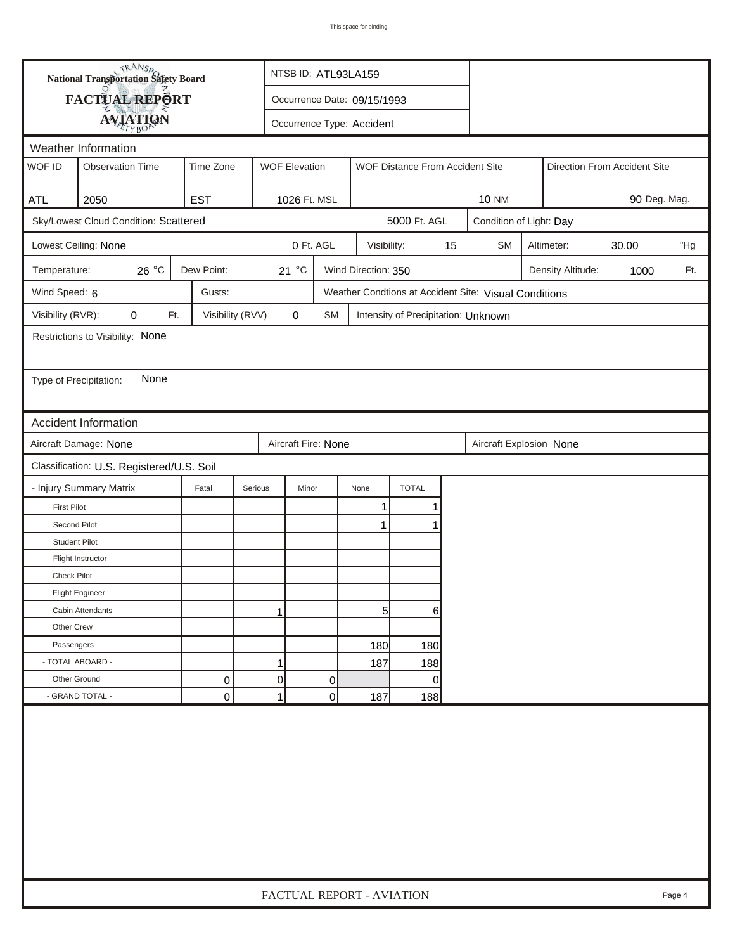| <b>National Transportation Safety Board</b> |                                       |                                                                      |         | NTSB ID: ATL93LA159          |    |                             |                                     |    |                                                       |                         |                   |      |     |  |
|---------------------------------------------|---------------------------------------|----------------------------------------------------------------------|---------|------------------------------|----|-----------------------------|-------------------------------------|----|-------------------------------------------------------|-------------------------|-------------------|------|-----|--|
| FACTUAL REPORT                              |                                       |                                                                      |         |                              |    | Occurrence Date: 09/15/1993 |                                     |    |                                                       |                         |                   |      |     |  |
|                                             | <b>AVIATION</b>                       |                                                                      |         | Occurrence Type: Accident    |    |                             |                                     |    |                                                       |                         |                   |      |     |  |
|                                             | Weather Information                   |                                                                      |         |                              |    |                             |                                     |    |                                                       |                         |                   |      |     |  |
| WOF ID                                      | <b>Observation Time</b>               | <b>WOF Elevation</b><br>Time Zone<br>WOF Distance From Accident Site |         |                              |    |                             |                                     |    | Direction From Accident Site                          |                         |                   |      |     |  |
|                                             |                                       |                                                                      |         |                              |    |                             |                                     |    |                                                       |                         |                   |      |     |  |
| <b>ATL</b>                                  | 2050                                  | <b>EST</b>                                                           |         | 1026 Ft. MSL                 |    |                             |                                     |    | <b>10 NM</b>                                          | 90 Deg. Mag.            |                   |      |     |  |
|                                             | Sky/Lowest Cloud Condition: Scattered |                                                                      |         | 5000 Ft. AGL                 |    |                             |                                     |    |                                                       | Condition of Light: Day |                   |      |     |  |
|                                             | Lowest Ceiling: None                  |                                                                      |         | 0 Ft. AGL                    |    | Visibility:                 |                                     | 15 | <b>SM</b>                                             | Altimeter:<br>30.00     |                   |      | "Hg |  |
| Temperature:                                | 26 °C                                 | Dew Point:                                                           |         | 21 °C<br>Wind Direction: 350 |    |                             |                                     |    |                                                       |                         | Density Altitude: | 1000 | Ft. |  |
| Wind Speed: 6                               |                                       | Gusts:                                                               |         |                              |    |                             |                                     |    | Weather Condtions at Accident Site: Visual Conditions |                         |                   |      |     |  |
| Visibility (RVR):                           | 0<br>Ft.                              | Visibility (RVV)                                                     |         | 0                            | SM |                             | Intensity of Precipitation: Unknown |    |                                                       |                         |                   |      |     |  |
|                                             | Restrictions to Visibility: None      |                                                                      |         |                              |    |                             |                                     |    |                                                       |                         |                   |      |     |  |
|                                             |                                       |                                                                      |         |                              |    |                             |                                     |    |                                                       |                         |                   |      |     |  |
| Type of Precipitation:                      | None                                  |                                                                      |         |                              |    |                             |                                     |    |                                                       |                         |                   |      |     |  |
|                                             |                                       |                                                                      |         |                              |    |                             |                                     |    |                                                       |                         |                   |      |     |  |
|                                             | <b>Accident Information</b>           |                                                                      |         |                              |    |                             |                                     |    |                                                       |                         |                   |      |     |  |
|                                             | Aircraft Damage: None                 |                                                                      |         | Aircraft Fire: None          |    |                             |                                     |    | Aircraft Explosion None                               |                         |                   |      |     |  |
| Classification: U.S. Registered/U.S. Soil   |                                       |                                                                      |         |                              |    |                             |                                     |    |                                                       |                         |                   |      |     |  |
|                                             | - Injury Summary Matrix               | Fatal                                                                | Serious | Minor                        |    | None                        | <b>TOTAL</b>                        |    |                                                       |                         |                   |      |     |  |
| <b>First Pilot</b>                          |                                       |                                                                      |         |                              |    | 1                           | 1                                   |    |                                                       |                         |                   |      |     |  |
| Second Pilot                                |                                       |                                                                      |         |                              |    | 1                           | 1                                   |    |                                                       |                         |                   |      |     |  |
| <b>Student Pilot</b>                        |                                       |                                                                      |         |                              |    |                             |                                     |    |                                                       |                         |                   |      |     |  |
|                                             | Flight Instructor                     |                                                                      |         |                              |    |                             |                                     |    |                                                       |                         |                   |      |     |  |
| <b>Check Pilot</b>                          |                                       |                                                                      |         |                              |    |                             |                                     |    |                                                       |                         |                   |      |     |  |
|                                             | <b>Flight Engineer</b>                |                                                                      |         |                              |    |                             |                                     |    |                                                       |                         |                   |      |     |  |
|                                             | Cabin Attendants                      |                                                                      |         | 1                            |    | $5 \mid$                    | 6                                   |    |                                                       |                         |                   |      |     |  |
| Other Crew                                  |                                       |                                                                      |         |                              |    |                             |                                     |    |                                                       |                         |                   |      |     |  |
| Passengers                                  |                                       |                                                                      |         |                              |    | 180                         | 180                                 |    |                                                       |                         |                   |      |     |  |
| - TOTAL ABOARD -                            |                                       |                                                                      |         | 1                            |    | 187                         | 188                                 |    |                                                       |                         |                   |      |     |  |
| Other Ground                                |                                       | 0                                                                    |         | $\overline{0}$               | 0  |                             | $\overline{0}$                      |    |                                                       |                         |                   |      |     |  |
|                                             | - GRAND TOTAL -                       | 0                                                                    |         | $\mathbf{1}$                 | 0  | 187                         | 188                                 |    |                                                       |                         |                   |      |     |  |
|                                             |                                       |                                                                      |         |                              |    |                             |                                     |    |                                                       |                         |                   |      |     |  |
|                                             | FACTUAL REPORT - AVIATION<br>Page 4   |                                                                      |         |                              |    |                             |                                     |    |                                                       |                         |                   |      |     |  |